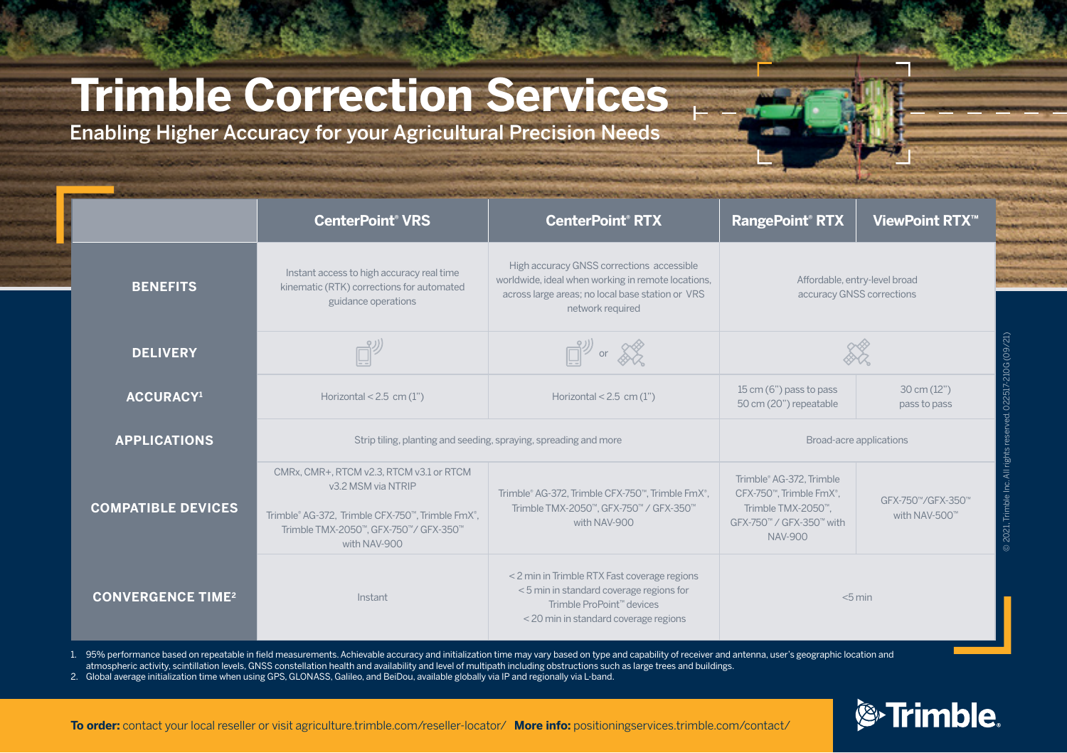# **Trimble Correction Services**

Enabling Higher Accuracy for your Agricultural Precision Needs

|                                     | <b>CenterPoint® VRS</b>                                                                                                                                                     | <b>CenterPoint® RTX</b>                                                                                                                                                 | <b>RangePoint<sup>®</sup> RTX</b>                                                                                       | ViewPoint RTX <sup>™</sup>            |
|-------------------------------------|-----------------------------------------------------------------------------------------------------------------------------------------------------------------------------|-------------------------------------------------------------------------------------------------------------------------------------------------------------------------|-------------------------------------------------------------------------------------------------------------------------|---------------------------------------|
| <b>BENEFITS</b>                     | Instant access to high accuracy real time<br>kinematic (RTK) corrections for automated<br>guidance operations                                                               | High accuracy GNSS corrections accessible<br>worldwide, ideal when working in remote locations,<br>across large areas; no local base station or VRS<br>network required | Affordable, entry-level broad<br>accuracy GNSS corrections                                                              |                                       |
| <b>DELIVERY</b>                     |                                                                                                                                                                             | $\mathbb{D}^{\mathcal{Y}}$ or $\mathcal{K}$                                                                                                                             |                                                                                                                         |                                       |
| <b>ACCURACY1</b>                    | Horizontal < $2.5$ cm $(1")$                                                                                                                                                | Horizontal < $2.5$ cm $(1")$                                                                                                                                            | 15 cm (6") pass to pass<br>50 cm (20") repeatable                                                                       | $30 \text{ cm} (12")$<br>pass to pass |
| <b>APPLICATIONS</b>                 | Strip tiling, planting and seeding, spraying, spreading and more                                                                                                            |                                                                                                                                                                         | Broad-acre applications                                                                                                 |                                       |
| <b>COMPATIBLE DEVICES</b>           | CMRx, CMR+, RTCM v2.3, RTCM v3.1 or RTCM<br>v3.2 MSM via NTRIP<br>Trimble® AG-372, Trimble CFX-750™, Trimble FmX®,<br>Trimble TMX-2050™, GFX-750™/ GFX-350™<br>with NAV-900 | Trimble® AG-372, Trimble CFX-750™, Trimble FmX®,<br>Trimble TMX-2050™, GFX-750™ / GFX-350™<br>with NAV-900                                                              | Trimble® AG-372. Trimble<br>CFX-750™, Trimble FmX®,<br>Trimble TMX-2050™.<br>GFX-750™ / GFX-350™ with<br><b>NAV-900</b> | GFX-750™/GFX-350™<br>with NAV-500™    |
| <b>CONVERGENCE TIME<sup>2</sup></b> | Instant                                                                                                                                                                     | < 2 min in Trimble RTX Fast coverage regions<br><5 min in standard coverage regions for<br>Trimble ProPoint™ devices<br>< 20 min in standard coverage regions           | < 5 min                                                                                                                 |                                       |

1. 95% performance based on repeatable in field measurements. Achievable accuracy and initialization time may vary based on type and capability of receiver and antenna, user's geographic location and

atmospheric activity, scintillation levels, GNSS constellation health and availability and level of multipath including obstructions such as large trees and buildings.

2. Global average initialization time when using GPS, GLONASS, Galileo, and BeiDou, available globally via IP and regionally via L-band.

**&**Trimble

**To order:** contact your local reseller or visit agriculture.trimble.com/reseller-locator/ **More info:** positioningservices.trimble.com/contact/